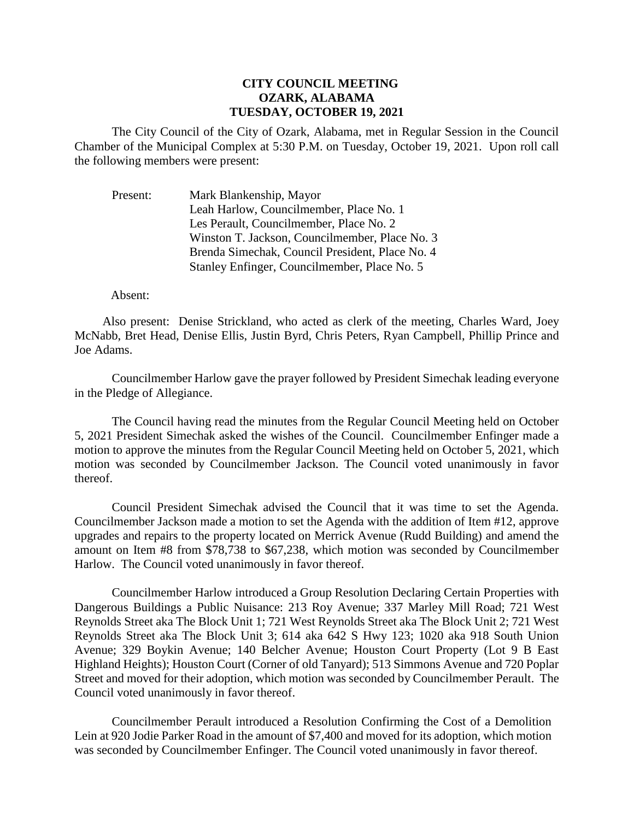## **CITY COUNCIL MEETING OZARK, ALABAMA TUESDAY, OCTOBER 19, 2021**

The City Council of the City of Ozark, Alabama, met in Regular Session in the Council Chamber of the Municipal Complex at 5:30 P.M. on Tuesday, October 19, 2021. Upon roll call the following members were present:

Present: Mark Blankenship, Mayor Leah Harlow, Councilmember, Place No. 1 Les Perault, Councilmember, Place No. 2 Winston T. Jackson, Councilmember, Place No. 3 Brenda Simechak, Council President, Place No. 4 Stanley Enfinger, Councilmember, Place No. 5

## Absent:

Also present: Denise Strickland, who acted as clerk of the meeting, Charles Ward, Joey McNabb, Bret Head, Denise Ellis, Justin Byrd, Chris Peters, Ryan Campbell, Phillip Prince and Joe Adams.

Councilmember Harlow gave the prayer followed by President Simechak leading everyone in the Pledge of Allegiance.

The Council having read the minutes from the Regular Council Meeting held on October 5, 2021 President Simechak asked the wishes of the Council. Councilmember Enfinger made a motion to approve the minutes from the Regular Council Meeting held on October 5, 2021, which motion was seconded by Councilmember Jackson. The Council voted unanimously in favor thereof.

Council President Simechak advised the Council that it was time to set the Agenda. Councilmember Jackson made a motion to set the Agenda with the addition of Item #12, approve upgrades and repairs to the property located on Merrick Avenue (Rudd Building) and amend the amount on Item #8 from \$78,738 to \$67,238, which motion was seconded by Councilmember Harlow. The Council voted unanimously in favor thereof.

Councilmember Harlow introduced a Group Resolution Declaring Certain Properties with Dangerous Buildings a Public Nuisance: 213 Roy Avenue; 337 Marley Mill Road; 721 West Reynolds Street aka The Block Unit 1; 721 West Reynolds Street aka The Block Unit 2; 721 West Reynolds Street aka The Block Unit 3; 614 aka 642 S Hwy 123; 1020 aka 918 South Union Avenue; 329 Boykin Avenue; 140 Belcher Avenue; Houston Court Property (Lot 9 B East Highland Heights); Houston Court (Corner of old Tanyard); 513 Simmons Avenue and 720 Poplar Street and moved for their adoption, which motion was seconded by Councilmember Perault. The Council voted unanimously in favor thereof.

Councilmember Perault introduced a Resolution Confirming the Cost of a Demolition Lein at 920 Jodie Parker Road in the amount of \$7,400 and moved for its adoption, which motion was seconded by Councilmember Enfinger. The Council voted unanimously in favor thereof.